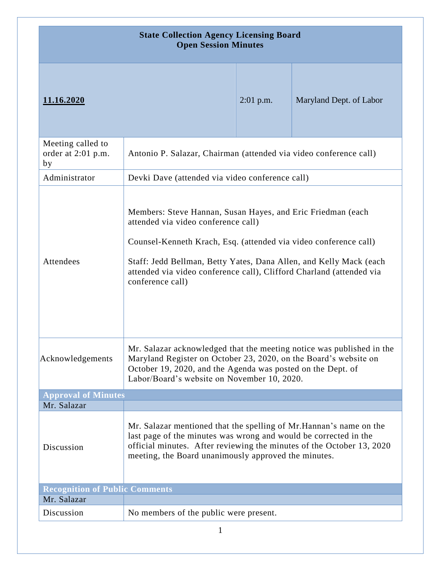| <b>State Collection Agency Licensing Board</b><br><b>Open Session Minutes</b> |                                                                                                                                                                                                                                                                                                                                          |             |                         |
|-------------------------------------------------------------------------------|------------------------------------------------------------------------------------------------------------------------------------------------------------------------------------------------------------------------------------------------------------------------------------------------------------------------------------------|-------------|-------------------------|
| 11.16.2020                                                                    |                                                                                                                                                                                                                                                                                                                                          | $2:01$ p.m. | Maryland Dept. of Labor |
| Meeting called to<br>order at 2:01 p.m.<br>by                                 | Antonio P. Salazar, Chairman (attended via video conference call)                                                                                                                                                                                                                                                                        |             |                         |
| Administrator                                                                 | Devki Dave (attended via video conference call)                                                                                                                                                                                                                                                                                          |             |                         |
| Attendees                                                                     | Members: Steve Hannan, Susan Hayes, and Eric Friedman (each<br>attended via video conference call)<br>Counsel-Kenneth Krach, Esq. (attended via video conference call)<br>Staff: Jedd Bellman, Betty Yates, Dana Allen, and Kelly Mack (each<br>attended via video conference call), Clifford Charland (attended via<br>conference call) |             |                         |
| Acknowledgements                                                              | Mr. Salazar acknowledged that the meeting notice was published in the<br>Maryland Register on October 23, 2020, on the Board's website on<br>October 19, 2020, and the Agenda was posted on the Dept. of<br>Labor/Board's website on November 10, 2020.                                                                                  |             |                         |
| <b>Approval of Minutes</b>                                                    |                                                                                                                                                                                                                                                                                                                                          |             |                         |
| Mr. Salazar                                                                   |                                                                                                                                                                                                                                                                                                                                          |             |                         |
| Discussion                                                                    | Mr. Salazar mentioned that the spelling of Mr. Hannan's name on the<br>last page of the minutes was wrong and would be corrected in the<br>official minutes. After reviewing the minutes of the October 13, 2020<br>meeting, the Board unanimously approved the minutes.                                                                 |             |                         |
| <b>Recognition of Public Comments</b>                                         |                                                                                                                                                                                                                                                                                                                                          |             |                         |
| Mr. Salazar                                                                   |                                                                                                                                                                                                                                                                                                                                          |             |                         |
| Discussion                                                                    | No members of the public were present.                                                                                                                                                                                                                                                                                                   |             |                         |
| 1                                                                             |                                                                                                                                                                                                                                                                                                                                          |             |                         |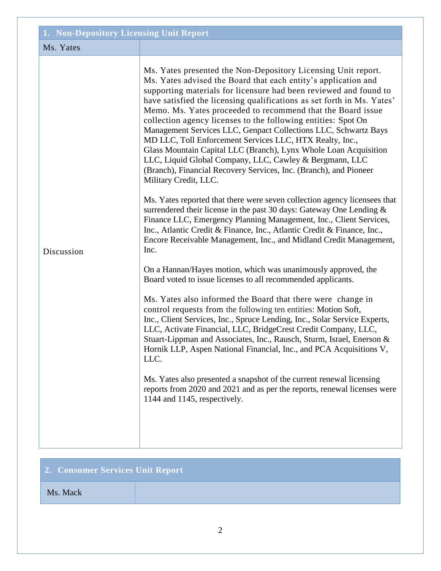| 1. Non-Depository Licensing Unit Report |                                                                                                                                                                                                                                                                                                                                                                                                                                                                                                                                                                                                                                                                                                                                                                                                                                                                                                                                                                                                                                                                                                                                                                                                                                                                                                                                                                                                                                                                                                                                                                                                                                                                                                                                                                                                                                                                                                                                |  |
|-----------------------------------------|--------------------------------------------------------------------------------------------------------------------------------------------------------------------------------------------------------------------------------------------------------------------------------------------------------------------------------------------------------------------------------------------------------------------------------------------------------------------------------------------------------------------------------------------------------------------------------------------------------------------------------------------------------------------------------------------------------------------------------------------------------------------------------------------------------------------------------------------------------------------------------------------------------------------------------------------------------------------------------------------------------------------------------------------------------------------------------------------------------------------------------------------------------------------------------------------------------------------------------------------------------------------------------------------------------------------------------------------------------------------------------------------------------------------------------------------------------------------------------------------------------------------------------------------------------------------------------------------------------------------------------------------------------------------------------------------------------------------------------------------------------------------------------------------------------------------------------------------------------------------------------------------------------------------------------|--|
| Ms. Yates                               |                                                                                                                                                                                                                                                                                                                                                                                                                                                                                                                                                                                                                                                                                                                                                                                                                                                                                                                                                                                                                                                                                                                                                                                                                                                                                                                                                                                                                                                                                                                                                                                                                                                                                                                                                                                                                                                                                                                                |  |
| Discussion                              | Ms. Yates presented the Non-Depository Licensing Unit report.<br>Ms. Yates advised the Board that each entity's application and<br>supporting materials for licensure had been reviewed and found to<br>have satisfied the licensing qualifications as set forth in Ms. Yates'<br>Memo. Ms. Yates proceeded to recommend that the Board issue<br>collection agency licenses to the following entities: Spot On<br>Management Services LLC, Genpact Collections LLC, Schwartz Bays<br>MD LLC, Toll Enforcement Services LLC, HTX Realty, Inc.,<br>Glass Mountain Capital LLC (Branch), Lynx Whole Loan Acquisition<br>LLC, Liquid Global Company, LLC, Cawley & Bergmann, LLC<br>(Branch), Financial Recovery Services, Inc. (Branch), and Pioneer<br>Military Credit, LLC.<br>Ms. Yates reported that there were seven collection agency licensees that<br>surrendered their license in the past 30 days: Gateway One Lending $\&$<br>Finance LLC, Emergency Planning Management, Inc., Client Services,<br>Inc., Atlantic Credit & Finance, Inc., Atlantic Credit & Finance, Inc.,<br>Encore Receivable Management, Inc., and Midland Credit Management,<br>Inc.<br>On a Hannan/Hayes motion, which was unanimously approved, the<br>Board voted to issue licenses to all recommended applicants.<br>Ms. Yates also informed the Board that there were change in<br>control requests from the following ten entities: Motion Soft,<br>Inc., Client Services, Inc., Spruce Lending, Inc., Solar Service Experts,<br>LLC, Activate Financial, LLC, BridgeCrest Credit Company, LLC,<br>Stuart-Lippman and Associates, Inc., Rausch, Sturm, Israel, Enerson &<br>Hornik LLP, Aspen National Financial, Inc., and PCA Acquisitions V,<br>LLC.<br>Ms. Yates also presented a snapshot of the current renewal licensing<br>reports from 2020 and 2021 and as per the reports, renewal licenses were<br>1144 and 1145, respectively. |  |
|                                         |                                                                                                                                                                                                                                                                                                                                                                                                                                                                                                                                                                                                                                                                                                                                                                                                                                                                                                                                                                                                                                                                                                                                                                                                                                                                                                                                                                                                                                                                                                                                                                                                                                                                                                                                                                                                                                                                                                                                |  |

| 2. Consumer Services Unit Report |  |
|----------------------------------|--|
| Ms. Mack                         |  |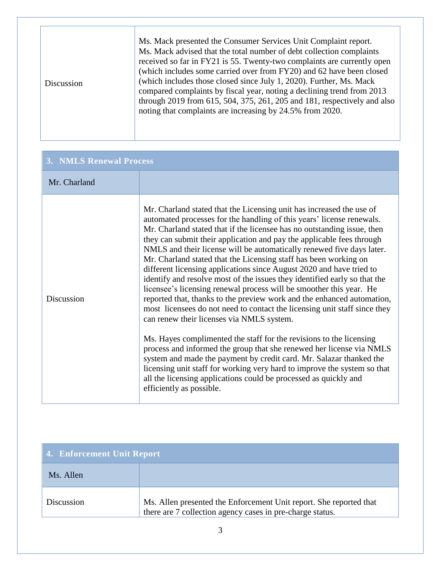| Discussion | Ms. Mack presented the Consumer Services Unit Complaint report.<br>Ms. Mack advised that the total number of debt collection complaints<br>received so far in FY21 is 55. Twenty-two complaints are currently open<br>(which includes some carried over from FY20) and 62 have been closed<br>(which includes those closed since July 1, 2020). Further, Ms. Mack<br>compared complaints by fiscal year, noting a declining trend from 2013<br>through 2019 from 615, 504, 375, 261, 205 and 181, respectively and also<br>noting that complaints are increasing by 24.5% from 2020. |
|------------|--------------------------------------------------------------------------------------------------------------------------------------------------------------------------------------------------------------------------------------------------------------------------------------------------------------------------------------------------------------------------------------------------------------------------------------------------------------------------------------------------------------------------------------------------------------------------------------|
|------------|--------------------------------------------------------------------------------------------------------------------------------------------------------------------------------------------------------------------------------------------------------------------------------------------------------------------------------------------------------------------------------------------------------------------------------------------------------------------------------------------------------------------------------------------------------------------------------------|

| <b>3. NMLS Renewal Process</b> |                                                                                                                                                                                                                                                                                                                                                                                                                                                                                                                                                                                                                                                                                                                                                                                                                                                                                                                                                                                                                                                                                                                                                                                                                                                                                  |
|--------------------------------|----------------------------------------------------------------------------------------------------------------------------------------------------------------------------------------------------------------------------------------------------------------------------------------------------------------------------------------------------------------------------------------------------------------------------------------------------------------------------------------------------------------------------------------------------------------------------------------------------------------------------------------------------------------------------------------------------------------------------------------------------------------------------------------------------------------------------------------------------------------------------------------------------------------------------------------------------------------------------------------------------------------------------------------------------------------------------------------------------------------------------------------------------------------------------------------------------------------------------------------------------------------------------------|
| Mr. Charland                   |                                                                                                                                                                                                                                                                                                                                                                                                                                                                                                                                                                                                                                                                                                                                                                                                                                                                                                                                                                                                                                                                                                                                                                                                                                                                                  |
| Discussion                     | Mr. Charland stated that the Licensing unit has increased the use of<br>automated processes for the handling of this years' license renewals.<br>Mr. Charland stated that if the licensee has no outstanding issue, then<br>they can submit their application and pay the applicable fees through<br>NMLS and their license will be automatically renewed five days later.<br>Mr. Charland stated that the Licensing staff has been working on<br>different licensing applications since August 2020 and have tried to<br>identify and resolve most of the issues they identified early so that the<br>licensee's licensing renewal process will be smoother this year. He<br>reported that, thanks to the preview work and the enhanced automation,<br>most licensees do not need to contact the licensing unit staff since they<br>can renew their licenses via NMLS system.<br>Ms. Hayes complimented the staff for the revisions to the licensing<br>process and informed the group that she renewed her license via NMLS<br>system and made the payment by credit card. Mr. Salazar thanked the<br>licensing unit staff for working very hard to improve the system so that<br>all the licensing applications could be processed as quickly and<br>efficiently as possible. |

| 4. Enforcement Unit Report |                                                                                                                                 |
|----------------------------|---------------------------------------------------------------------------------------------------------------------------------|
| Ms. Allen                  |                                                                                                                                 |
| Discussion                 | Ms. Allen presented the Enforcement Unit report. She reported that<br>there are 7 collection agency cases in pre-charge status. |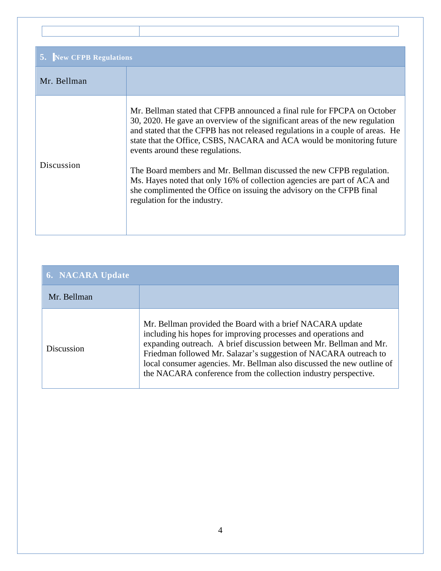| <b>New CFPB Regulations</b> |                                                                                                                                                                                                                                                                                                                                                                                                                                                                                                                                                                                                                       |
|-----------------------------|-----------------------------------------------------------------------------------------------------------------------------------------------------------------------------------------------------------------------------------------------------------------------------------------------------------------------------------------------------------------------------------------------------------------------------------------------------------------------------------------------------------------------------------------------------------------------------------------------------------------------|
| Mr. Bellman                 |                                                                                                                                                                                                                                                                                                                                                                                                                                                                                                                                                                                                                       |
| Discussion                  | Mr. Bellman stated that CFPB announced a final rule for FPCPA on October<br>30, 2020. He gave an overview of the significant areas of the new regulation<br>and stated that the CFPB has not released regulations in a couple of areas. He<br>state that the Office, CSBS, NACARA and ACA would be monitoring future<br>events around these regulations.<br>The Board members and Mr. Bellman discussed the new CFPB regulation.<br>Ms. Hayes noted that only 16% of collection agencies are part of ACA and<br>she complimented the Office on issuing the advisory on the CFPB final<br>regulation for the industry. |

| 6. NACARA Update |                                                                                                                                                                                                                                                                                                                                                                                                                    |
|------------------|--------------------------------------------------------------------------------------------------------------------------------------------------------------------------------------------------------------------------------------------------------------------------------------------------------------------------------------------------------------------------------------------------------------------|
| Mr. Bellman      |                                                                                                                                                                                                                                                                                                                                                                                                                    |
| Discussion       | Mr. Bellman provided the Board with a brief NACARA update<br>including his hopes for improving processes and operations and<br>expanding outreach. A brief discussion between Mr. Bellman and Mr.<br>Friedman followed Mr. Salazar's suggestion of NACARA outreach to<br>local consumer agencies. Mr. Bellman also discussed the new outline of<br>the NACARA conference from the collection industry perspective. |